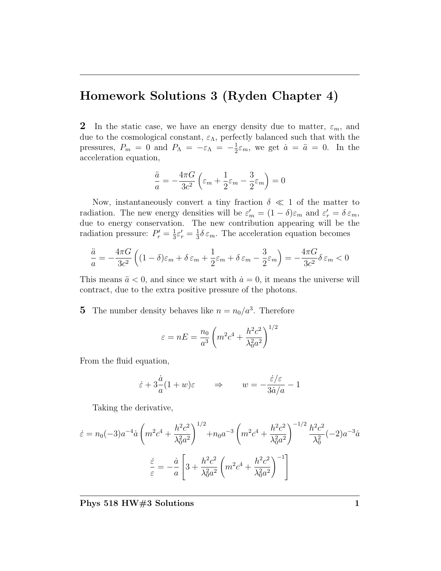## Homework Solutions 3 (Ryden Chapter 4)

2 In the static case, we have an energy density due to matter,  $\varepsilon_m$ , and due to the cosmological constant,  $\varepsilon_{\Lambda}$ , perfectly balanced such that with the pressures,  $P_m = 0$  and  $P_\Lambda = -\varepsilon_\Lambda = -\frac{1}{2}$  $\frac{1}{2}\varepsilon_m$ , we get  $\dot{a} = \ddot{a} = 0$ . In the acceleration equation,

$$
\frac{\ddot{a}}{a} = -\frac{4\pi G}{3c^2} \left( \varepsilon_m + \frac{1}{2} \varepsilon_m - \frac{3}{2} \varepsilon_m \right) = 0
$$

Now, instantaneously convert a tiny fraction  $\delta \ll 1$  of the matter to radiation. The new energy densities will be  $\varepsilon'_m = (1 - \delta)\varepsilon_m$  and  $\varepsilon'_r = \delta \varepsilon_m$ , due to energy conservation. The new contribution appearing will be the radiation pressure:  $P'_r = \frac{1}{3}$  $\frac{1}{3}\varepsilon_{r}'=\frac{1}{3}$  $\frac{1}{3}\delta \varepsilon_m$ . The acceleration equation becomes

$$
\frac{\ddot{a}}{a} = -\frac{4\pi G}{3c^2} \left( (1 - \delta)\varepsilon_m + \delta \varepsilon_m + \frac{1}{2}\varepsilon_m + \delta \varepsilon_m - \frac{3}{2}\varepsilon_m \right) = -\frac{4\pi G}{3c^2} \delta \varepsilon_m < 0
$$

This means  $\ddot{a} < 0$ , and since we start with  $\dot{a} = 0$ , it means the universe will contract, due to the extra positive pressure of the photons.

5 The number density behaves like  $n = n_0/a^3$ . Therefore

$$
\varepsilon = nE = \frac{n_0}{a^3} \left( m^2 c^4 + \frac{h^2 c^2}{\lambda_0^2 a^2} \right)^{1/2}
$$

From the fluid equation,

$$
\dot{\varepsilon} + 3\frac{\dot{a}}{a}(1+w)\varepsilon \qquad \Rightarrow \qquad w = -\frac{\dot{\varepsilon}/\varepsilon}{3\dot{a}/a} - 1
$$

Taking the derivative,

$$
\dot{\varepsilon} = n_0(-3)a^{-4}\dot{a}\left(m^2c^4 + \frac{h^2c^2}{\lambda_0^2a^2}\right)^{1/2} + n_0a^{-3}\left(m^2c^4 + \frac{h^2c^2}{\lambda_0^2a^2}\right)^{-1/2}\frac{h^2c^2}{\lambda_0^2}(-2)a^{-3}\dot{a}
$$

$$
\frac{\dot{\varepsilon}}{\varepsilon} = -\frac{\dot{a}}{a}\left[3 + \frac{h^2c^2}{\lambda_0^2a^2}\left(m^2c^4 + \frac{h^2c^2}{\lambda_0^2a^2}\right)^{-1}\right]
$$

Phys 518 HW#3 Solutions 1